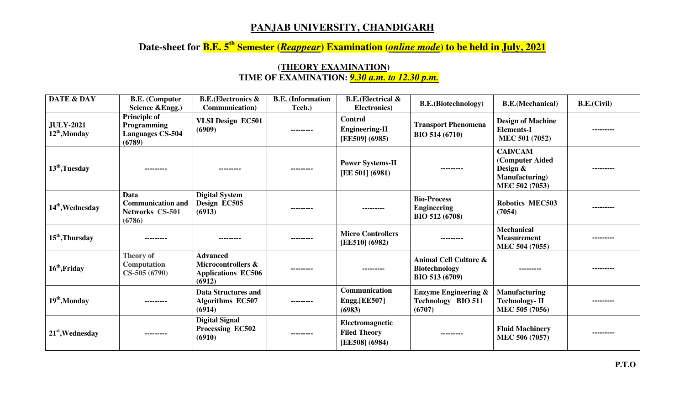## **PANJAB UNIVERSITY, CHANDIGARH**

## **Date-sheet for B.E. 5th Semester (***Reappear***) Examination (***online mode***) to be held in July, 2021**

## **DATE & DAY B.E. (Computer Science &Engg.) B.E.(Electronics & Communication) B.E. (Information Tech.) B.E.(Electrical & Electrical & R.E.(Biotechnology) B.E.(Mechanical) B.E.(Civil) B.E.(Civil) JULY-2021 <sup>12</sup>th,Monday Principle of Programming Languages CS-504 (6789) VLSI Design EC501 (6909) --------- Control Engineering-II [EE509] (6985) Transport Phenomena BIO 514 (6710) Design of Machine Elements-I MEC 501 (7052) --------- <sup>13</sup>th,Tuesday --------- --------- --------- Power Systems-II [EE 501] (6981) --------- CAD/CAM (Computer Aided Design & Manufacturing) MEC 502 (7053) --------- <sup>14</sup>th,Wednesday Data Communication and Networks CS-501 (6786)Digital System Design EC505 (6913) --------- --------- Bio-Process Engineering BIO 512 (6708) Robotics MEC503 (7054) --------- <sup>15</sup>th,Thursday --------- --------- --------- Micro Controllers [EE510] (6982) --------- Mechanical Measurement MEC 504 (7055) --------- <sup>16</sup>th,Friday Theory of Computation CS-505 (6790) Advanced Microcontrollers & Applications EC506 (6912) --------- --------- Animal Cell Culture & Biotechnology BIO 513 (6709) --------- --------- <sup>19</sup>th,Monday --------- Data Structures and Algorithms EC507 (6914) --------- Communication Engg.[EE507] (6983) Enzyme Engineering & Technology BIO 511 (6707) Manufacturing Technology- II MEC 505 (7056) --------- <sup>21</sup>st,Wednesday --------- Digital Signal Processing EC502 (6910) --------- Electromagnetic Filed Theory [EE508] (6984) --------- Fluid Machinery MEC 506 (7057) ---------**

## **(THEORY EXAMINATION) TIME OF EXAMINATION:** *9.30 a.m. to 12.30 p.m.*